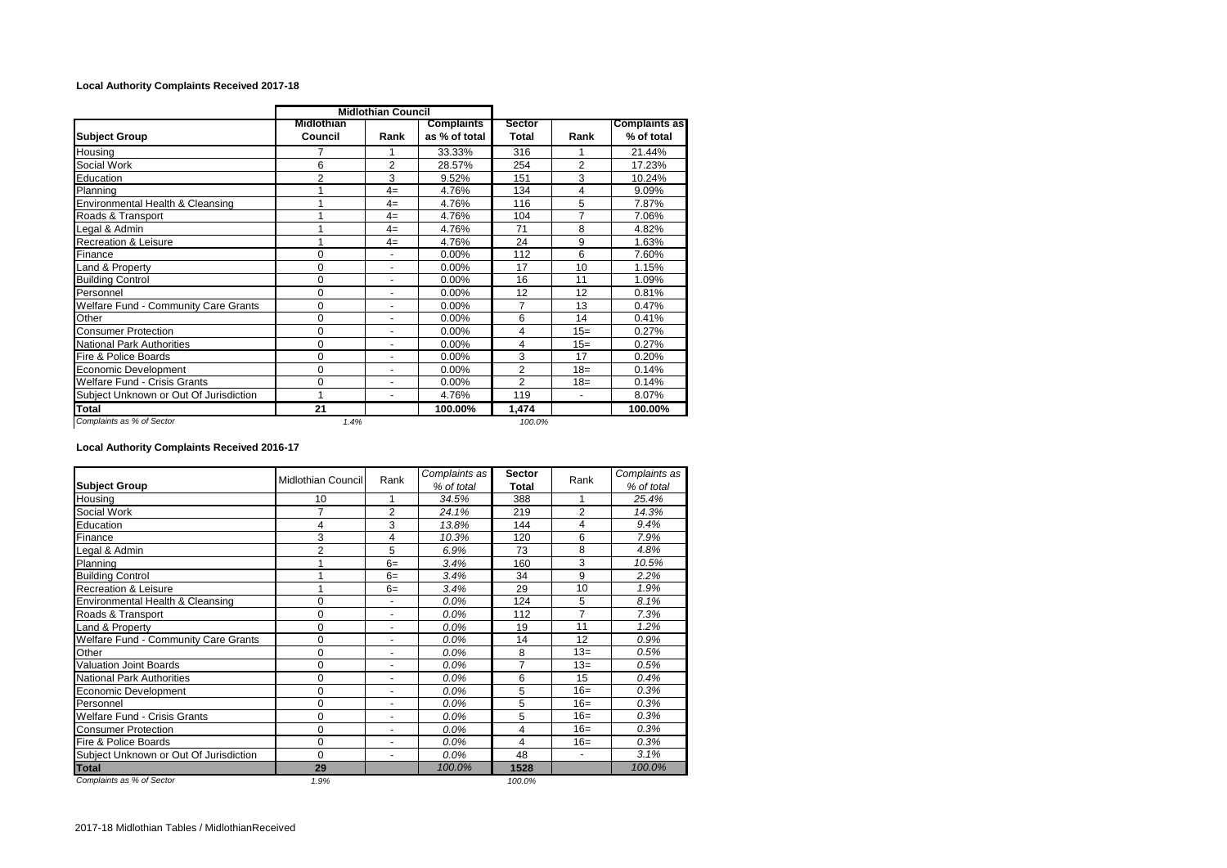## **Local Authority Complaints Received 2017-18**

|                                             | <b>Midlothian Council</b> |                          |                                    |                 |                |                                    |
|---------------------------------------------|---------------------------|--------------------------|------------------------------------|-----------------|----------------|------------------------------------|
| <b>Subject Group</b>                        | Midlothian<br>Council     | Rank                     | <b>Complaints</b><br>as % of total | Sector<br>Total | Rank           | <b>Complaints as</b><br>% of total |
| Housing                                     | 7                         |                          | 33.33%                             | 316             |                | 21.44%                             |
| Social Work                                 | 6                         | $\overline{2}$           | 28.57%                             | 254             | $\overline{2}$ | 17.23%                             |
| Education                                   | $\overline{2}$            | 3                        | 9.52%                              | 151             | 3              | 10.24%                             |
| Planning                                    |                           | $4=$                     | 4.76%                              | 134             | 4              | 9.09%                              |
| Environmental Health & Cleansing            |                           | $4=$                     | 4.76%                              | 116             | 5              | 7.87%                              |
| Roads & Transport                           |                           | $4=$                     | 4.76%                              | 104             | 7              | 7.06%                              |
| Legal & Admin                               |                           | $4=$                     | 4.76%                              | 71              | 8              | 4.82%                              |
| <b>Recreation &amp; Leisure</b>             |                           | $4=$                     | 4.76%                              | 24              | 9              | 1.63%                              |
| Finance                                     | 0                         | $\overline{\phantom{a}}$ | 0.00%                              | 112             | 6              | 7.60%                              |
| Land & Property                             | 0                         | $\blacksquare$           | 0.00%                              | 17              | 10             | 1.15%                              |
| <b>Building Control</b>                     | 0                         | $\blacksquare$           | $0.00\%$                           | 16              | 11             | 1.09%                              |
| Personnel                                   | 0                         | $\overline{\phantom{a}}$ | 0.00%                              | 12              | 12             | 0.81%                              |
| <b>Welfare Fund - Community Care Grants</b> | 0                         | $\blacksquare$           | $0.00\%$                           | 7               | 13             | 0.47%                              |
| Other                                       | 0                         | $\blacksquare$           | 0.00%                              | 6               | 14             | 0.41%                              |
| <b>Consumer Protection</b>                  | 0                         | $\blacksquare$           | $0.00\%$                           | 4               | $15=$          | 0.27%                              |
| <b>National Park Authorities</b>            | 0                         | $\blacksquare$           | 0.00%                              | 4               | $15=$          | 0.27%                              |
| Fire & Police Boards                        | 0                         | $\blacksquare$           | $0.00\%$                           | 3               | 17             | 0.20%                              |
| Economic Development                        | 0                         | $\blacksquare$           | 0.00%                              | $\overline{2}$  | $18=$          | 0.14%                              |
| <b>Welfare Fund - Crisis Grants</b>         | 0                         | $\overline{\phantom{a}}$ | 0.00%                              | $\overline{2}$  | $18 =$         | 0.14%                              |
| Subject Unknown or Out Of Jurisdiction      | 1                         | $\overline{\phantom{a}}$ | 4.76%                              | 119             | $\blacksquare$ | 8.07%                              |
| Total                                       | 21                        |                          | 100.00%                            | 1,474           |                | 100.00%                            |
| Complaints as % of Sector                   | 1.4%                      |                          |                                    | 100.0%          |                |                                    |

## **Local Authority Complaints Received 2016-17**

|                                             | <b>Midlothian Council</b> | Rank                     | Complaints as | <b>Sector</b> | Rank           | Complaints as |
|---------------------------------------------|---------------------------|--------------------------|---------------|---------------|----------------|---------------|
| <b>Subject Group</b>                        |                           |                          | % of total    | Total         |                | % of total    |
| Housing                                     | 10                        | 1                        | 34.5%         | 388           |                | 25.4%         |
| Social Work                                 | 7                         | $\overline{2}$           | 24.1%         | 219           | $\overline{2}$ | 14.3%         |
| Education                                   | 4                         | 3                        | 13.8%         | 144           | 4              | 9.4%          |
| Finance                                     | 3                         | 4                        | 10.3%         | 120           | 6              | 7.9%          |
| Legal & Admin                               | $\overline{2}$            | 5                        | 6.9%          | 73            | 8              | 4.8%          |
| Planning                                    |                           | $6=$                     | 3.4%          | 160           | 3              | 10.5%         |
| <b>Building Control</b>                     |                           | $6=$                     | 3.4%          | 34            | 9              | 2.2%          |
| <b>Recreation &amp; Leisure</b>             |                           | $6=$                     | 3.4%          | 29            | 10             | 1.9%          |
| Environmental Health & Cleansing            | 0                         | $\overline{\phantom{a}}$ | 0.0%          | 124           | 5              | 8.1%          |
| Roads & Transport                           | 0                         | $\overline{\phantom{a}}$ | $0.0\%$       | 112           | $\overline{7}$ | 7.3%          |
| Land & Property                             | 0                         | $\overline{a}$           | $0.0\%$       | 19            | 11             | 1.2%          |
| <b>Welfare Fund - Community Care Grants</b> | 0                         |                          | 0.0%          | 14            | 12             | 0.9%          |
| Other                                       | 0                         |                          | $0.0\%$       | 8             | $13=$          | 0.5%          |
| <b>Valuation Joint Boards</b>               | 0                         |                          | 0.0%          | 7             | $13=$          | 0.5%          |
| National Park Authorities                   | 0                         |                          | $0.0\%$       | 6             | 15             | 0.4%          |
| Economic Development                        | 0                         |                          | 0.0%          | 5             | $16=$          | 0.3%          |
| Personnel                                   | $\Omega$                  | $\blacksquare$           | 0.0%          | 5             | $16=$          | 0.3%          |
| Welfare Fund - Crisis Grants                | 0                         | $\overline{\phantom{a}}$ | 0.0%          | 5             | $16=$          | 0.3%          |
| <b>Consumer Protection</b>                  | 0                         | $\blacksquare$           | 0.0%          | 4             | $16=$          | 0.3%          |
| Fire & Police Boards                        | 0                         | $\blacksquare$           | 0.0%          | 4             | $16=$          | 0.3%          |
| Subject Unknown or Out Of Jurisdiction      | $\Omega$                  | $\blacksquare$           | 0.0%          | 48            | ÷,             | 3.1%          |
| <b>Total</b>                                | 29                        |                          | 100.0%        | 1528          |                | 100.0%        |
| Complaints as % of Sector                   | 1.9%                      |                          |               | 100.0%        |                |               |